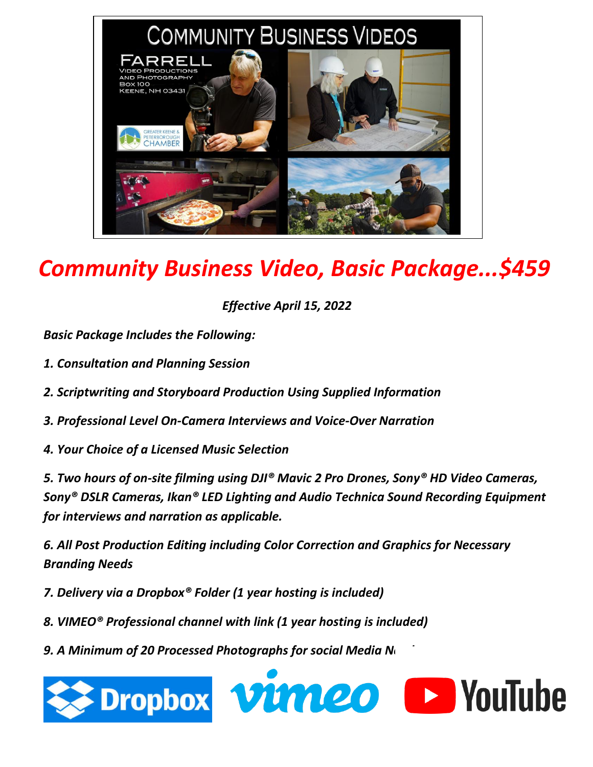

## *Community Business Video, Basic Package...\$459*

*Effective April 15, 2022*

*Basic Package Includes the Following:*

- *1. Consultation and Planning Session*
- *2. Scriptwriting and Storyboard Production Using Supplied Information*
- *3. Professional Level On-Camera Interviews and Voice-Over Narration*
- *4. Your Choice of a Licensed Music Selection*

*5. Two hours of on-site filming using DJI® Mavic 2 Pro Drones, Sony® HD Video Cameras, Sony® DSLR Cameras, Ikan® LED Lighting and Audio Technica Sound Recording Equipment for interviews and narration as applicable.*

*6. All Post Production Editing including Color Correction and Graphics for Necessary Branding Needs*

*7. Delivery via a Dropbox® Folder (1 year hosting is included)*

- *8. VIMEO® Professional channel with link (1 year hosting is included)*
- **9. A Minimum of 20 Processed Photographs for social Media Next**

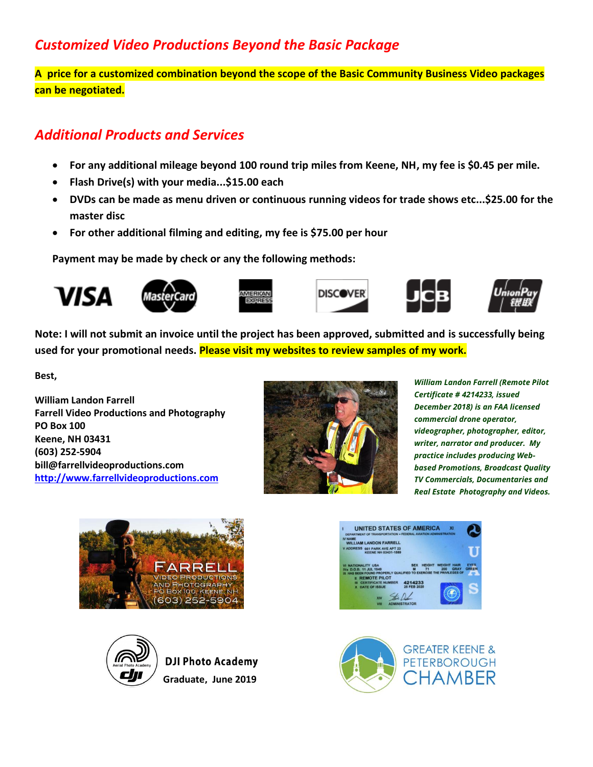## *Customized Video Productions Beyond the Basic Package*

**A price for a customized combination beyond the scope of the Basic Community Business Video packages can be negotiated.**

## *Additional Products and Services*

- **For any additional mileage beyond 100 round trip miles from Keene, NH, my fee is \$0.45 per mile.**
- **Flash Drive(s) with your media...\$15.00 each**
- **DVDs can be made as menu driven or continuous running videos for trade shows etc...\$25.00 for the master disc**
- **For other additional filming and editing, my fee is \$75.00 per hour**

**Payment may be made by check or any the following methods:**



**Note: I will not submit an invoice until the project has been approved, submitted and is successfully being used for your promotional needs. Please visit my websites to review samples of my work.**

**Best,**

**William Landon Farrell Farrell Video Productions and Photography PO Box 100 Keene, NH 03431 (603) 252-5904 bill@farrellvideoproductions.com [http://www.farrellvideoproductions.com](http://www.farrellvideoproductions.com/)**



*William Landon Farrell (Remote Pilot Certificate # 4214233, issued December 2018) is an FAA licensed commercial drone operator, videographer, photographer, editor, writer, narrator and producer. My practice includes producing Webbased Promotions, Broadcast Quality TV Commercials, Documentaries and Real Estate Photography and Videos.*





**DJI Photo Academy Graduate, June 2019**